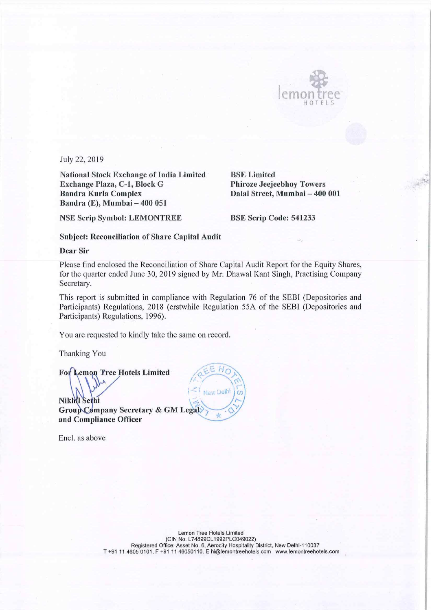

\_ <sup>1</sup>

July 22, 2019

National Stock Exchange of India Limited Exchange Plaza, C—l, Block G Bandra Kurla Complex Bandra (E), Mumbai — 400 051

BSE Limited Phiroze Jeejeebhoy Towers Dalal Street, Mumbai – 400 001

NSE Scrip Symbol: LEMONTREE

BSE Scrip Code: 541233

## Subject: Reconciliation of Share Capital Audit

Dear Sir

Please find enclosed the Reconciliation of Share Capital Audit Report for the Equity Shares, for the quarter ended June 30, 2019 signed by Mr. Dhawal Kant Singh, Practising Company Secretary.

This report is submitted in compliance with Regulation 76 of the SEBI (Depositories and Participants) Regulations, 2018 (erstwhile Regulation 55A of the SEBI (Depositories and Participants) Regulations, 1996).

. ,

 $\overline{z}$ \_ ,

 $\Delta'$ 

 $\bigotimes$ 

You are requested to kindly take the same on record.

Thanking You

For Lemon Tree Hotels Limited emon Pree Hotels Limited  $\left(\bigcup_{k=1}^{\infty}$ 

Nikhil Sethi Group Company Secretary & GM Legal and Compliance Officer

Encl. as above

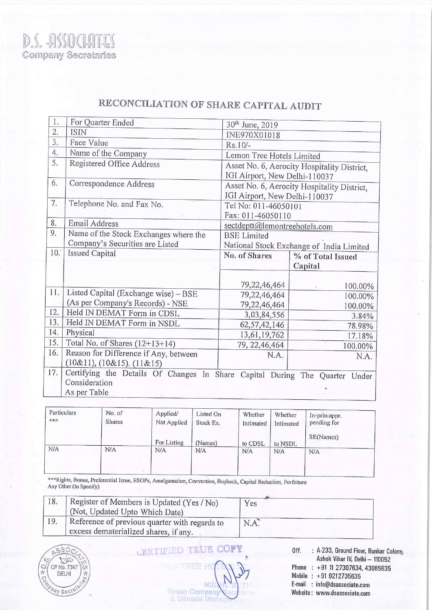| 1.  | For Quarter Ended                                                       | 30th June, 2019                          |                                             |  |  |
|-----|-------------------------------------------------------------------------|------------------------------------------|---------------------------------------------|--|--|
| 2.  | <b>ISIN</b>                                                             | INE970X01018                             |                                             |  |  |
| 3.  | Face Value                                                              | $Rs.10/-$                                |                                             |  |  |
| 4.  | Name of the Company                                                     | Lemon Tree Hotels Limited                |                                             |  |  |
| 5.  | Registered Office Address                                               |                                          | Asset No. 6, Aerocity Hospitality District, |  |  |
|     |                                                                         | IGI Airport, New Delhi-110037            |                                             |  |  |
| 6.  | Correspondence Address                                                  |                                          | Asset No. 6, Aerocity Hospitality District, |  |  |
|     |                                                                         | IGI Airport, New Delhi-110037            |                                             |  |  |
| 7.  | Telephone No. and Fax No.                                               |                                          | Tel No: 011-46050101                        |  |  |
|     |                                                                         | Fax: 011-46050110                        |                                             |  |  |
| 8.  | Email Address                                                           | sectdeptt@lemontreehotels.com            |                                             |  |  |
| 9.  | Name of the Stock Exchanges where the                                   | <b>BSE</b> Limited                       |                                             |  |  |
|     | Company's Securities are Listed                                         | National Stock Exchange of India Limited |                                             |  |  |
| 10. | <b>Issued Capital</b>                                                   | No. of Shares                            | % of Total Issued                           |  |  |
|     |                                                                         |                                          | Capital                                     |  |  |
|     |                                                                         |                                          |                                             |  |  |
| 11. |                                                                         | 79, 22, 46, 464                          | 100.00%                                     |  |  |
|     | Listed Capital (Exchange wise) - BSE                                    | 79, 22, 46, 464                          | 100.00%                                     |  |  |
| 12. | (As per Company's Records) - NSE                                        | 79,22,46,464                             | 100.00%                                     |  |  |
| 13. | Held IN DEMAT Form in CDSL                                              | 3,03,84,556                              | 3.84%                                       |  |  |
| 14. | Held IN DEMAT Form in NSDL<br>Physical                                  | 62, 57, 42, 146                          | 78.98%                                      |  |  |
| 15. |                                                                         | 13,61,19,762                             | 17.18%                                      |  |  |
| 16. | Total No. of Shares $(12+13+14)$                                        | 79, 22, 46, 464                          | 100.00%                                     |  |  |
|     | Reason for Difference if Any, between<br>$(10\&11), (10\&15), (11\&15)$ | N.A.                                     | N.A.                                        |  |  |
| 17. | Certifying the Details Of Changes In Share                              |                                          |                                             |  |  |
|     | Consideration                                                           |                                          | Capital During The Quarter Under            |  |  |
|     | As per Table                                                            |                                          |                                             |  |  |
|     |                                                                         |                                          |                                             |  |  |

## RECONCILIATION OF SHARE CAPITAL AUDIT

| Particulars<br>*** | No. of<br><b>Shares</b> | Applied/<br>Not Applied | Listed On<br>Stock Ex. | Whether<br>Intimated | Whether<br>Intimated | In-prin.appr.<br>pending for |  |
|--------------------|-------------------------|-------------------------|------------------------|----------------------|----------------------|------------------------------|--|
|                    |                         | For Listing             | (Names)                | to CDSL              | to NSDL              | SE(Names)                    |  |
| N/A                | N/A                     | N/A                     | N/A                    | N/A                  | N/A                  | N/A                          |  |

\*\*\*Rights, Bonus, Preferential Issue, ESOPs, Amalgamation, Conversion, Buyback, Capital Reduction, Forfeiture Any Other (to Specify)

| 18. | Register of Members is Updated (Yes / No)<br>(Not, Updated Upto Which Date)            | Yes  |
|-----|----------------------------------------------------------------------------------------|------|
| 19. | Reference of previous quarter with regards to<br>excess dematerialized shares, if any. | N.A. |



## **CERTIFIED TRUE COPY**

Off. : A-233, Ground Floor, Bunkar Colony, Ashok Vihar IV, Delhi — 110052 Phone : +91 11 27307634, 43085635 Mobile : +91 9212735635 E-mail : info@dsassociate.com Website: www.dsassociate.com

NII Group Company & General Mana